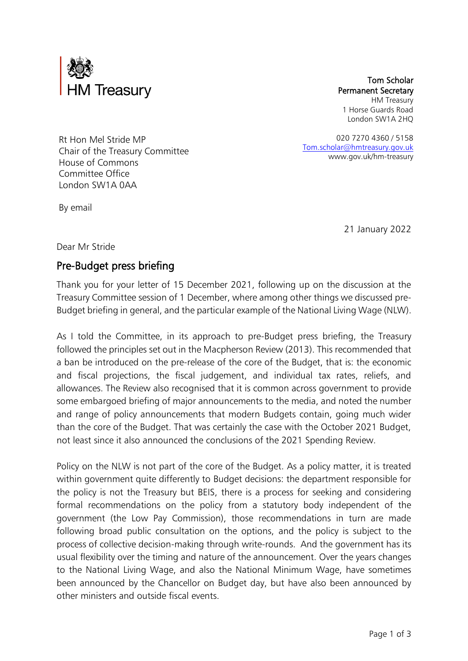

Tom Scholar Permanent Secretary HM Treasury 1 Horse Guards Road London SW1A 2HQ

020 7270 4360 / 5158 [Tom.scholar@hmtreasury.gov.uk](mailto:Tom.scholar@hmtreasury.gov.uk) [www.gov.uk/](http://www.hm-treasury.gov.uk/)hm-treasury

Rt Hon Mel Stride MP Chair of the Treasury Committee House of Commons Committee Office London SW1A 0AA

By email

21 January 2022

Dear Mr Stride

## Pre-Budget press briefing

Thank you for your letter of 15 December 2021, following up on the discussion at the Treasury Committee session of 1 December, where among other things we discussed pre-Budget briefing in general, and the particular example of the National Living Wage (NLW).

As I told the Committee, in its approach to pre-Budget press briefing, the Treasury followed the principles set out in the Macpherson Review (2013). This recommended that a ban be introduced on the pre-release of the core of the Budget, that is: the economic and fiscal projections, the fiscal judgement, and individual tax rates, reliefs, and allowances. The Review also recognised that it is common across government to provide some embargoed briefing of major announcements to the media, and noted the number and range of policy announcements that modern Budgets contain, going much wider than the core of the Budget. That was certainly the case with the October 2021 Budget, not least since it also announced the conclusions of the 2021 Spending Review.

Policy on the NLW is not part of the core of the Budget. As a policy matter, it is treated within government quite differently to Budget decisions: the department responsible for the policy is not the Treasury but BEIS, there is a process for seeking and considering formal recommendations on the policy from a statutory body independent of the government (the Low Pay Commission), those recommendations in turn are made following broad public consultation on the options, and the policy is subject to the process of collective decision-making through write-rounds. And the government has its usual flexibility over the timing and nature of the announcement. Over the years changes to the National Living Wage, and also the National Minimum Wage, have sometimes been announced by the Chancellor on Budget day, but have also been announced by other ministers and outside fiscal events.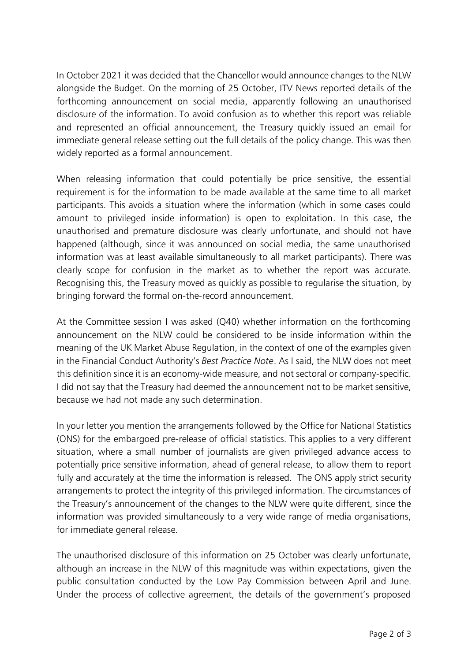In October 2021 it was decided that the Chancellor would announce changes to the NLW alongside the Budget. On the morning of 25 October, ITV News reported details of the forthcoming announcement on social media, apparently following an unauthorised disclosure of the information. To avoid confusion as to whether this report was reliable and represented an official announcement, the Treasury quickly issued an email for immediate general release setting out the full details of the policy change. This was then widely reported as a formal announcement.

When releasing information that could potentially be price sensitive, the essential requirement is for the information to be made available at the same time to all market participants. This avoids a situation where the information (which in some cases could amount to privileged inside information) is open to exploitation. In this case, the unauthorised and premature disclosure was clearly unfortunate, and should not have happened (although, since it was announced on social media, the same unauthorised information was at least available simultaneously to all market participants). There was clearly scope for confusion in the market as to whether the report was accurate. Recognising this, the Treasury moved as quickly as possible to regularise the situation, by bringing forward the formal on-the-record announcement.

At the Committee session I was asked (Q40) whether information on the forthcoming announcement on the NLW could be considered to be inside information within the meaning of the UK Market Abuse Regulation, in the context of one of the examples given in the Financial Conduct Authority's *Best Practice Note*. As I said, the NLW does not meet this definition since it is an economy-wide measure, and not sectoral or company-specific. I did not say that the Treasury had deemed the announcement not to be market sensitive, because we had not made any such determination.

In your letter you mention the arrangements followed by the Office for National Statistics (ONS) for the embargoed pre-release of official statistics. This applies to a very different situation, where a small number of journalists are given privileged advance access to potentially price sensitive information, ahead of general release, to allow them to report fully and accurately at the time the information is released. The ONS apply strict security arrangements to protect the integrity of this privileged information. The circumstances of the Treasury's announcement of the changes to the NLW were quite different, since the information was provided simultaneously to a very wide range of media organisations, for immediate general release.

The unauthorised disclosure of this information on 25 October was clearly unfortunate, although an increase in the NLW of this magnitude was within expectations, given the public consultation conducted by the Low Pay Commission between April and June. Under the process of collective agreement, the details of the government's proposed